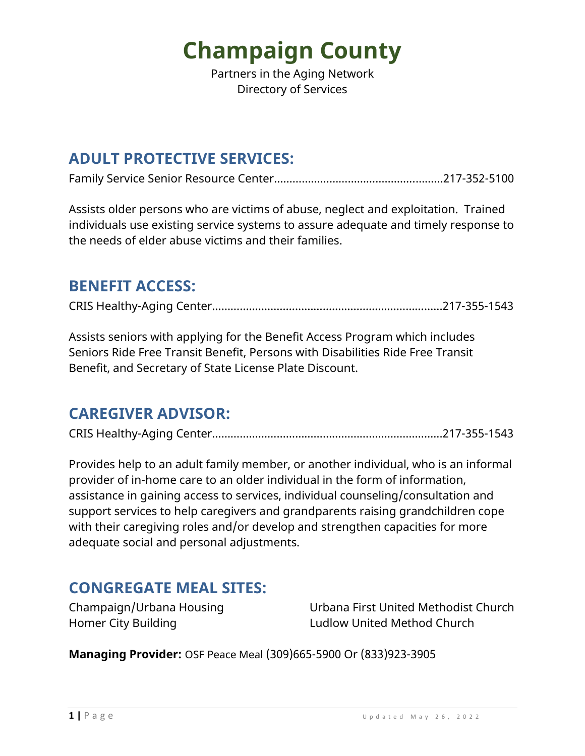Partners in the Aging Network Directory of Services

#### **ADULT PROTECTIVE SERVICES:**

Family Service Senior Resource Center……………………………………….……...217-352-5100

Assists older persons who are victims of abuse, neglect and exploitation. Trained individuals use existing service systems to assure adequate and timely response to the needs of elder abuse victims and their families.

#### **BENEFIT ACCESS:**

CRIS Healthy-Aging Center………………………………………………………………...217-355-1543

Assists seniors with applying for the Benefit Access Program which includes Seniors Ride Free Transit Benefit, Persons with Disabilities Ride Free Transit Benefit, and Secretary of State License Plate Discount.

#### **CAREGIVER ADVISOR:**

Provides help to an adult family member, or another individual, who is an informal provider of in-home care to an older individual in the form of information, assistance in gaining access to services, individual counseling/consultation and support services to help caregivers and grandparents raising grandchildren cope with their caregiving roles and/or develop and strengthen capacities for more adequate social and personal adjustments.

## **CONGREGATE MEAL SITES:**

Champaign/Urbana Housing Urbana First United Methodist Church Homer City Building Ludlow United Method Church

**Managing Provider:** OSF Peace Meal (309)665-5900 Or (833)923-3905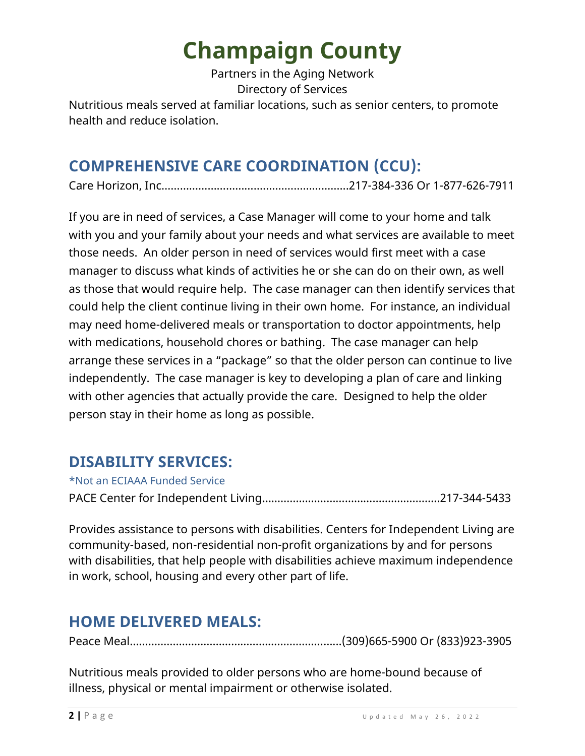Partners in the Aging Network Directory of Services

Nutritious meals served at familiar locations, such as senior centers, to promote health and reduce isolation.

# **COMPREHENSIVE CARE COORDINATION (CCU):**

Care Horizon, Inc…………………………….……………………...217-384-336 Or 1-877-626-7911

If you are in need of services, a Case Manager will come to your home and talk with you and your family about your needs and what services are available to meet those needs. An older person in need of services would first meet with a case manager to discuss what kinds of activities he or she can do on their own, as well as those that would require help. The case manager can then identify services that could help the client continue living in their own home. For instance, an individual may need home-delivered meals or transportation to doctor appointments, help with medications, household chores or bathing. The case manager can help arrange these services in a "package" so that the older person can continue to live independently. The case manager is key to developing a plan of care and linking with other agencies that actually provide the care. Designed to help the older person stay in their home as long as possible.

## **DISABILITY SERVICES:**

\*Not an ECIAAA Funded Service

PACE Center for Independent Living………………………………………………….217-344-5433

Provides assistance to persons with disabilities. Centers for Independent Living are community-based, non-residential non-profit organizations by and for persons with disabilities, that help people with disabilities achieve maximum independence in work, school, housing and every other part of life.

# **HOME DELIVERED MEALS:**

Peace Meal…………………………………………………………...(309)665-5900 Or (833)923-3905

Nutritious meals provided to older persons who are home-bound because of illness, physical or mental impairment or otherwise isolated.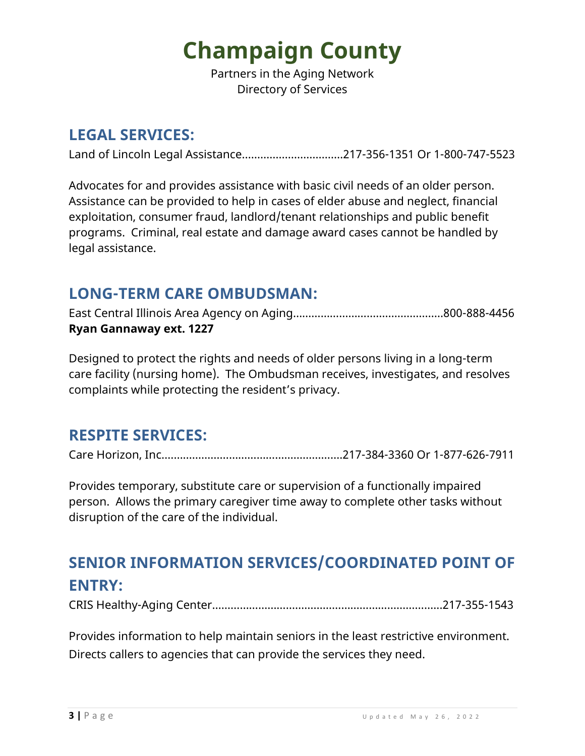Partners in the Aging Network Directory of Services

#### **LEGAL SERVICES:**

Land of Lincoln Legal Assistance……………………………217-356-1351 Or 1-800-747-5523

Advocates for and provides assistance with basic civil needs of an older person. Assistance can be provided to help in cases of elder abuse and neglect, financial exploitation, consumer fraud, landlord/tenant relationships and public benefit programs. Criminal, real estate and damage award cases cannot be handled by legal assistance.

## **LONG-TERM CARE OMBUDSMAN:**

East Central Illinois Area Agency on Aging………………………………………….800-888-4456 **Ryan Gannaway ext. 1227**

Designed to protect the rights and needs of older persons living in a long-term care facility (nursing home). The Ombudsman receives, investigates, and resolves complaints while protecting the resident's privacy.

## **RESPITE SERVICES:**

Care Horizon, Inc….……………………………………………….217-384-3360 Or 1-877-626-7911

Provides temporary, substitute care or supervision of a functionally impaired person. Allows the primary caregiver time away to complete other tasks without disruption of the care of the individual.

# **SENIOR INFORMATION SERVICES/COORDINATED POINT OF ENTRY:**

CRIS Healthy-Aging Center………………………………………………………………...217-355-1543

Provides information to help maintain seniors in the least restrictive environment. Directs callers to agencies that can provide the services they need.